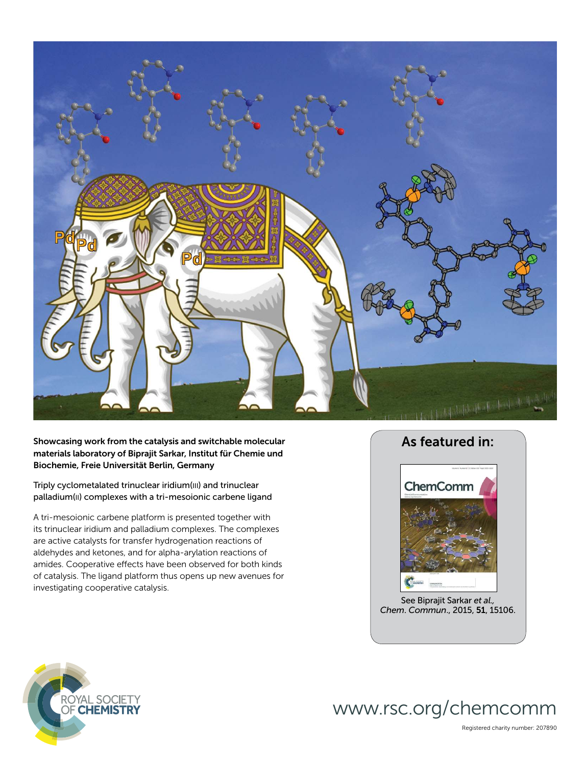

Showcasing work from the catalysis and switchable molecular materials laboratory of Biprajit Sarkar, Institut für Chemie und Biochemie, Freie Universität Berlin, Germany

Triply cyclometalated trinuclear iridium(III) and trinuclear palladium(II) complexes with a tri-mesoionic carbene ligand

A tri-mesoionic carbene platform is presented together with its trinuclear iridium and palladium complexes. The complexes are active catalysts for transfer hydrogenation reactions of aldehydes and ketones, and for alpha-arylation reactions of amides. Cooperative effects have been observed for both kinds of catalysis. The ligand platform thus opens up new avenues for investigating cooperative catalysis.



See Biprajit Sarkar *et al., Chem*. *Commun*., 2015, 51, 15106.

www.rsc.org/chemcomm



Registered charity number: 207890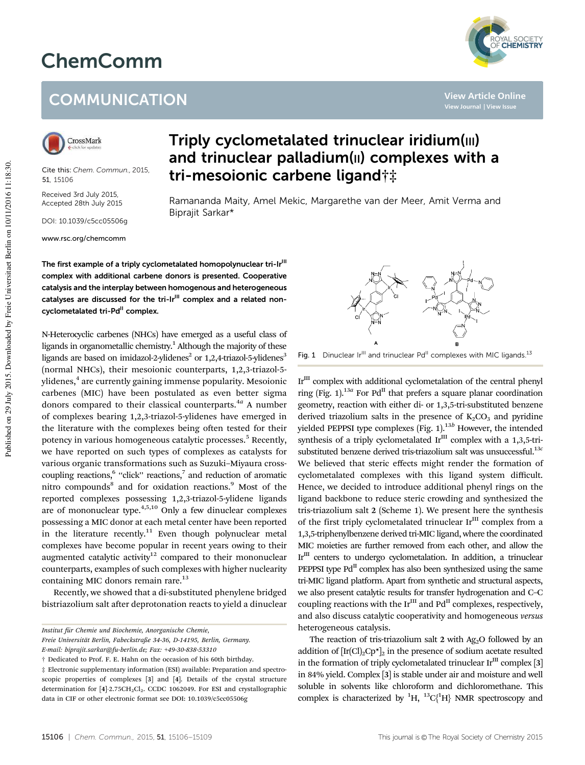## ChemComm





Cite this: *Chem. Commun.,* 2015, 51, 15106

Received 3rd July 2015, Accepted 28th July 2015

DOI: 10.1039/c5cc05506g

www.rsc.org/chemcomm

## Triply cyclometalated trinuclear iridium(III) and trinuclear palladium(II) complexes with a tri-mesoionic carbene ligand†‡

Ramananda Maity, Amel Mekic, Margarethe van der Meer, Amit Verma and Biprajit Sarkar\*

The first example of a triply cyclometalated homopolynuclear tri-Ir<sup>III</sup> complex with additional carbene donors is presented. Cooperative catalysis and the interplay between homogenous and heterogeneous catalyses are discussed for the tri-Ir<sup>III</sup> complex and a related noncyclometalated tri-Pd<sup>II</sup> complex.

N-Heterocyclic carbenes (NHCs) have emerged as a useful class of ligands in organometallic chemistry.<sup>1</sup> Although the majority of these ligands are based on imidazol-2-ylidenes<sup>2</sup> or 1,2,4-triazol-5-ylidenes<sup>3</sup> (normal NHCs), their mesoionic counterparts, 1,2,3-triazol-5 ylidenes, $\rm ^4$  are currently gaining immense popularity. Mesoionic carbenes (MIC) have been postulated as even better sigma donors compared to their classical counterparts.<sup>4a</sup> A number of complexes bearing 1,2,3-triazol-5-ylidenes have emerged in the literature with the complexes being often tested for their potency in various homogeneous catalytic processes.<sup>5</sup> Recently, we have reported on such types of complexes as catalysts for various organic transformations such as Suzuki–Miyaura crosscoupling reactions,<sup>6</sup> "click" reactions,<sup>7</sup> and reduction of aromatic nitro compounds<sup>8</sup> and for oxidation reactions.<sup>9</sup> Most of the reported complexes possessing 1,2,3-triazol-5-ylidene ligands are of mononuclear type.<sup>4,5,10</sup> Only a few dinuclear complexes possessing a MIC donor at each metal center have been reported in the literature recently.<sup>11</sup> Even though polynuclear metal complexes have become popular in recent years owing to their augmented catalytic activity<sup>12</sup> compared to their mononuclear counterparts, examples of such complexes with higher nuclearity containing MIC donors remain rare.<sup>13</sup>

Recently, we showed that a di-substituted phenylene bridged bistriazolium salt after deprotonation reacts to yield a dinuclear

Fig. 1 Dinuclear Ir<sup>III</sup> and trinuclear Pd<sup>II</sup> complexes with MIC ligands.<sup>13</sup>

 $Ir<sup>III</sup>$  complex with additional cyclometalation of the central phenyl ring (Fig. 1).<sup>13a</sup> For Pd<sup>II</sup> that prefers a square planar coordination geometry, reaction with either di- or 1,3,5-tri-substituted benzene derived triazolium salts in the presence of  $K_2CO_3$  and pyridine yielded PEPPSI type complexes (Fig. 1).13*<sup>b</sup>* However, the intended synthesis of a triply cyclometalated  $Ir^{III}$  complex with a 1,3,5-trisubstituted benzene derived tris-triazolium salt was unsuccessful.13*<sup>c</sup>* We believed that steric effects might render the formation of cyclometalated complexes with this ligand system difficult. Hence, we decided to introduce additional phenyl rings on the ligand backbone to reduce steric crowding and synthesized the tris-triazolium salt 2 (Scheme 1). We present here the synthesis of the first triply cyclometalated trinuclear  $Ir^{III}$  complex from a 1,3,5-triphenylbenzene derived tri-MIC ligand, where the coordinated MIC moieties are further removed from each other, and allow the Ir<sup>III</sup> centers to undergo cyclometalation. In addition, a trinuclear PEPPSI type  $Pd^{II}$  complex has also been synthesized using the same tri-MIC ligand platform. Apart from synthetic and structural aspects, we also present catalytic results for transfer hydrogenation and C–C coupling reactions with the  $Ir^{III}$  and  $Pd^{II}$  complexes, respectively, and also discuss catalytic cooperativity and homogeneous *versus* heterogeneous catalysis.

The reaction of tris-triazolium salt 2 with  $Ag<sub>2</sub>O$  followed by an addition of  $[\text{Ir}(Cl)_2\text{Cp*}]_2$  in the presence of sodium acetate resulted in the formation of triply cyclometalated trinuclear  $Ir^{III}$  complex [3] in 84% yield. Complex [3] is stable under air and moisture and well soluble in solvents like chloroform and dichloromethane. This complex is characterized by  ${}^{1}H$ ,  ${}^{13}C_{1}^{1}H$  NMR spectroscopy and



**View Article Online**

*Institut fu¨r Chemie und Biochemie, Anorganische Chemie,*

*Freie Universita¨t Berlin, Fabeckstraße 34-36, D-14195, Berlin, Germany. E-mail: biprajit.sarkar@fu-berlin.de; Fax:* +*49-30-838-53310*

<sup>†</sup> Dedicated to Prof. F. E. Hahn on the occasion of his 60th birthday.

<sup>‡</sup> Electronic supplementary information (ESI) available: Preparation and spectroscopic properties of complexes [3] and [4]. Details of the crystal structure determination for [4]-2.75CH<sub>2</sub>Cl<sub>2</sub>. CCDC 1062049. For ESI and crystallographic data in CIF or other electronic format see DOI: 10.1039/c5cc05506g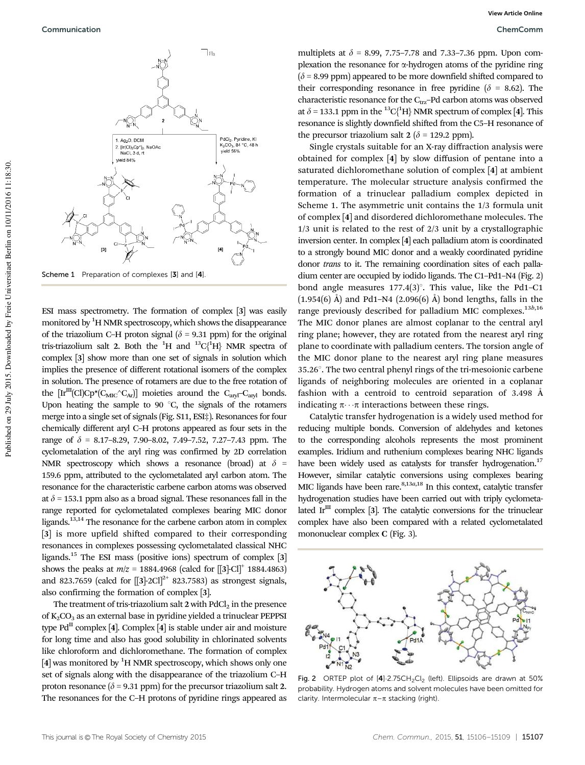

Scheme 1 Preparation of complexes [3] and [4].

ESI mass spectrometry. The formation of complex [3] was easily monitored by <sup>1</sup>H NMR spectroscopy, which shows the disappearance of the triazolium C–H proton signal ( $\delta$  = 9.31 ppm) for the original tris-triazolium salt 2. Both the <sup>1</sup>H and <sup>13</sup>C<sub>1</sub><sup>1</sup>H<sub>1</sub></sub> NMR spectra of complex [3] show more than one set of signals in solution which implies the presence of different rotational isomers of the complex in solution. The presence of rotamers are due to the free rotation of the  $\text{[Ir}^{\text{III}}\text{[Cl)}\text{Cp*}(C_{\text{MIC}}^{\wedge}C_{\text{Ar}})]$  moieties around the  $C_{\text{aryl}}-C_{\text{arvl}}$  bonds. Upon heating the sample to 90 $^{\circ}$ C, the signals of the rotamers merge into a single set of signals (Fig. S11, ESI‡). Resonances for four chemically different aryl C–H protons appeared as four sets in the range of  $\delta$  = 8.17–8.29, 7.90–8.02, 7.49–7.52, 7.27–7.43 ppm. The cyclometalation of the aryl ring was confirmed by 2D correlation NMR spectroscopy which shows a resonance (broad) at  $\delta$  = 159.6 ppm, attributed to the cyclometalated aryl carbon atom. The resonance for the characteristic carbene carbon atoms was observed at  $\delta$  = 153.1 ppm also as a broad signal. These resonances fall in the range reported for cyclometalated complexes bearing MIC donor ligands.13,14 The resonance for the carbene carbon atom in complex [3] is more upfield shifted compared to their corresponding resonances in complexes possessing cyclometalated classical NHC ligands.<sup>15</sup> The ESI mass (positive ions) spectrum of complex [3] shows the peaks at  $m/z = 1884.4968$  (calcd for  $[[3]$ -Cl<sup>+</sup> 1884.4863) and 823.7659 (calcd for  $[[3]$ -2Cl]<sup>2+</sup> 823.7583) as strongest signals, also confirming the formation of complex [3].

The treatment of tris-triazolium salt  $2$  with  $PdCl<sub>2</sub>$  in the presence of  $K_2CO_3$  as an external base in pyridine yielded a trinuclear PEPPSI type Pd<sup>II</sup> complex [4]. Complex [4] is stable under air and moisture for long time and also has good solubility in chlorinated solvents like chloroform and dichloromethane. The formation of complex  $[4]$  was monitored by <sup>1</sup>H NMR spectroscopy, which shows only one set of signals along with the disappearance of the triazolium C–H proton resonance ( $\delta$  = 9.31 ppm) for the precursor triazolium salt 2. The resonances for the C–H protons of pyridine rings appeared as

multiplets at  $\delta$  = 8.99, 7.75–7.78 and 7.33–7.36 ppm. Upon complexation the resonance for  $\alpha$ -hydrogen atoms of the pyridine ring  $(\delta = 8.99$  ppm) appeared to be more downfield shifted compared to their corresponding resonance in free pyridine ( $\delta$  = 8.62). The characteristic resonance for the C $_{\text{trz}}$ –Pd carbon atoms was observed at  $\delta$  = 133.1 ppm in the <sup>13</sup>C<sup>{1</sup>H} NMR spectrum of complex [4]. This resonance is slightly downfield shifted from the C5–H resonance of the precursor triazolium salt 2 ( $\delta$  = 129.2 ppm).

Single crystals suitable for an X-ray diffraction analysis were obtained for complex [4] by slow diffusion of pentane into a saturated dichloromethane solution of complex [4] at ambient temperature. The molecular structure analysis confirmed the formation of a trinuclear palladium complex depicted in Scheme 1. The asymmetric unit contains the 1/3 formula unit of complex [4] and disordered dichloromethane molecules. The 1/3 unit is related to the rest of 2/3 unit by a crystallographic inversion center. In complex [4] each palladium atom is coordinated to a strongly bound MIC donor and a weakly coordinated pyridine donor *trans* to it. The remaining coordination sites of each palladium center are occupied by iodido ligands. The C1–Pd1–N4 (Fig. 2) bond angle measures  $177.4(3)^\circ$ . This value, like the Pd1–C1  $(1.954(6)$  Å) and Pd1–N4  $(2.096(6)$  Å) bond lengths, falls in the range previously described for palladium MIC complexes.13*b*,16 The MIC donor planes are almost coplanar to the central aryl ring plane; however, they are rotated from the nearest aryl ring plane to coordinate with palladium centers. The torsion angle of the MIC donor plane to the nearest aryl ring plane measures  $35.26^\circ$ . The two central phenyl rings of the tri-mesoionic carbene ligands of neighboring molecules are oriented in a coplanar fashion with a centroid to centroid separation of 3.498 Å indicating  $\pi \cdots \pi$  interactions between these rings.

Catalytic transfer hydrogenation is a widely used method for reducing multiple bonds. Conversion of aldehydes and ketones to the corresponding alcohols represents the most prominent examples. Iridium and ruthenium complexes bearing NHC ligands have been widely used as catalysts for transfer hydrogenation.<sup>17</sup> However, similar catalytic conversions using complexes bearing MIC ligands have been rare.<sup>8,13*a*,18</sup> In this context, catalytic transfer hydrogenation studies have been carried out with triply cyclometalated Ir $\rm{^{III}}$  complex [3]. The catalytic conversions for the trinuclear complex have also been compared with a related cyclometalated mononuclear complex C (Fig. 3).



Fig. 2 ORTEP plot of  $[4]$ -2.75CH<sub>2</sub>Cl<sub>2</sub> (left). Ellipsoids are drawn at 50% probability. Hydrogen atoms and solvent molecules have been omitted for clarity. Intermolecular  $\pi-\pi$  stacking (right).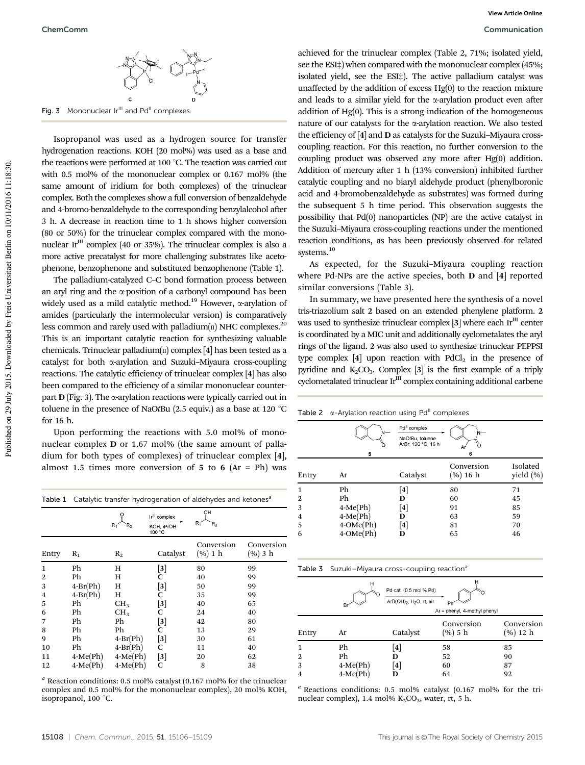

Fig. 3 Mononuclear Ir<sup>III</sup> and Pd<sup>II</sup> complexes

Isopropanol was used as a hydrogen source for transfer hydrogenation reactions. KOH (20 mol%) was used as a base and the reactions were performed at 100  $^{\circ}$ C. The reaction was carried out with 0.5 mol% of the mononuclear complex or 0.167 mol% (the same amount of iridium for both complexes) of the trinuclear complex. Both the complexes show a full conversion of benzaldehyde and 4-bromo-benzaldehyde to the corresponding benzylalcohol after 3 h. A decrease in reaction time to 1 h shows higher conversion (80 or 50%) for the trinuclear complex compared with the mononuclear Ir<sup>III</sup> complex (40 or 35%). The trinuclear complex is also a more active precatalyst for more challenging substrates like acetophenone, benzophenone and substituted benzophenone (Table 1).

The palladium-catalyzed C–C bond formation process between an aryl ring and the  $\alpha$ -position of a carbonyl compound has been widely used as a mild catalytic method.<sup>19</sup> However,  $\alpha$ -arylation of amides (particularly the intermolecular version) is comparatively less common and rarely used with palladium $(n)$  NHC complexes.<sup>20</sup> This is an important catalytic reaction for synthesizing valuable chemicals. Trinuclear palladium( $\pi$ ) complex [4] has been tested as a catalyst for both a-arylation and Suzuki–Miyaura cross-coupling reactions. The catalytic efficiency of trinuclear complex [4] has also been compared to the efficiency of a similar mononuclear counterpart  $D$  (Fig. 3). The  $\alpha$ -arylation reactions were typically carried out in toluene in the presence of NaOtBu (2.5 equiv.) as a base at 120  $^{\circ}$ C for 16 h.

Upon performing the reactions with 5.0 mol% of mononuclear complex D or 1.67 mol% (the same amount of palladium for both types of complexes) of trinuclear complex [4], almost 1.5 times more conversion of 5 to 6 (Ar = Ph) was

|                | Table 1 Catalytic transfer hydrogenation of aldehydes and ketones <sup>a</sup> |                 |                                                   |                       |                       |  |
|----------------|--------------------------------------------------------------------------------|-----------------|---------------------------------------------------|-----------------------|-----------------------|--|
|                |                                                                                | $R_1$<br>R,     | Ir <sup>III</sup> complex<br>KOH, iPrOH<br>100 °C | OH<br>$R_1$<br>R,     |                       |  |
| Entry          | $R_1$                                                                          | $R_2$           | Catalyst                                          | Conversion<br>(% 1 h) | Conversion<br>(% 3 h) |  |
| 1              | Ph                                                                             | Н               | $\lceil 3 \rceil$                                 | 80                    | 99                    |  |
| $\overline{2}$ | Ph                                                                             | Н               | С                                                 | 40                    | 99                    |  |
| 3              | $4-Br(Ph)$                                                                     | Н               | $\lceil 3 \rceil$                                 | 50                    | 99                    |  |
| 4              | $4-Br(Ph)$                                                                     | Н               | C                                                 | 35                    | 99                    |  |
| 5              | Ph                                                                             | CH <sub>3</sub> | $^{[3]}$                                          | 40                    | 65                    |  |
| 6              | Ph                                                                             | CH <sub>3</sub> | С                                                 | 24                    | 40                    |  |
| 7              | Ph                                                                             | Ph              | $\lceil 3 \rceil$                                 | 42                    | 80                    |  |
| 8              | Ph                                                                             | Ph              | С                                                 | 13                    | 29                    |  |
| 9              | Ph                                                                             | $4-Br(Ph)$      | $^{[3]}$                                          | 30                    | 61                    |  |
| 10             | Ph                                                                             | $4-Br(Ph)$      | С                                                 | 11                    | 40                    |  |
| 11             | $4-Me(Ph)$                                                                     | $4-Me(Ph)$      | $^{[3]}$                                          | 20                    | 62                    |  |
| 12             | $4-Me(Ph)$                                                                     | $4-Me(Ph)$      | C                                                 | 8                     | 38                    |  |

*<sup>a</sup>* Reaction conditions: 0.5 mol% catalyst (0.167 mol% for the trinuclear complex and 0.5 mol% for the mononuclear complex), 20 mol% KOH, isopropanol,  $100^{\circ}$ C.

achieved for the trinuclear complex (Table 2, 71%; isolated yield, see the ESI‡) when compared with the mononuclear complex (45%; isolated yield, see the ESI‡). The active palladium catalyst was unaffected by the addition of excess Hg(0) to the reaction mixture and leads to a similar yield for the  $\alpha$ -arylation product even after addition of Hg(0). This is a strong indication of the homogeneous nature of our catalysts for the  $\alpha$ -arylation reaction. We also tested the efficiency of [4] and D as catalysts for the Suzuki–Miyaura crosscoupling reaction. For this reaction, no further conversion to the coupling product was observed any more after Hg(0) addition. Addition of mercury after 1 h (13% conversion) inhibited further catalytic coupling and no biaryl aldehyde product (phenylboronic acid and 4-bromobenzaldehyde as substrates) was formed during the subsequent 5 h time period. This observation suggests the possibility that Pd(0) nanoparticles (NP) are the active catalyst in the Suzuki–Miyaura cross-coupling reactions under the mentioned reaction conditions, as has been previously observed for related systems.<sup>10</sup>

As expected, for the Suzuki–Miyaura coupling reaction where Pd-NPs are the active species, both D and [4] reported similar conversions (Table 3).

In summary, we have presented here the synthesis of a novel tris-triazolium salt 2 based on an extended phenylene platform. 2 was used to synthesize trinuclear complex  $[3]$  where each Ir<sup>III</sup> center is coordinated by a MIC unit and additionally cyclometalates the aryl rings of the ligand. 2 was also used to synthesize trinuclear PEPPSI type complex  $[4]$  upon reaction with  $PdCl<sub>2</sub>$  in the presence of pyridine and  $K_2CO_3$ . Complex [3] is the first example of a triply cyclometalated trinuclear Ir<sup>III</sup> complex containing additional carbene

Table 2  $\alpha$ -Arylation reaction using Pd<sup>II</sup> complexes

|       | 5               | Pd <sup>II</sup> complex<br>NaOtBu, toluene<br>ArBr, 120 °C, 16 h | Ar<br>6                |                           |
|-------|-----------------|-------------------------------------------------------------------|------------------------|---------------------------|
| Entry | Ar              | Catalyst                                                          | Conversion<br>(%) 16 h | Isolated<br>yield $(\% )$ |
|       | Ph              | $\vert 4 \vert$                                                   | 80                     | 71                        |
| 2     | Ph              | D                                                                 | 60                     | 45                        |
| 3     | $4-Me(Ph)$      | $\vert 4 \vert$                                                   | 91                     | 85                        |
| 4     | $4-Me(Ph)$      | D                                                                 | 63                     | 59                        |
| 5     | $4$ -OMe $(Ph)$ | $\left\lceil 4 \right\rceil$                                      | 81                     | 70                        |
| 6     | $4$ -OMe $(Ph)$ | D                                                                 | 65                     | 46                        |

Table 3 Suzuki–Miyaura cross-coupling reaction<sup>a</sup>

|                | н<br>н<br>Pd-cat. (0.5 mol % Pd)<br>ArB(OH) <sub>2</sub> , H <sub>2</sub> O, rt, air<br>Ph<br>Br<br>Ar = phenyl, 4-methyl phenyl |          |                       |                        |  |
|----------------|----------------------------------------------------------------------------------------------------------------------------------|----------|-----------------------|------------------------|--|
| Entry          | Ar                                                                                                                               | Catalyst | Conversion<br>(% 5 h) | Conversion<br>(%) 12 h |  |
| 1              | Ph                                                                                                                               | [4]      | 58                    | 85                     |  |
| 2              | Ph                                                                                                                               | D        | 52                    | 90                     |  |
| 3              | $4-Me(Ph)$                                                                                                                       | [4]      | 60                    | 87                     |  |
| $\overline{4}$ | $4-Me(Ph)$                                                                                                                       | D        | 64                    | 92                     |  |

*<sup>a</sup>* Reactions conditions: 0.5 mol% catalyst (0.167 mol% for the trinuclear complex), 1.4 mol%  $K_2CO_3$ , water, rt, 5 h.